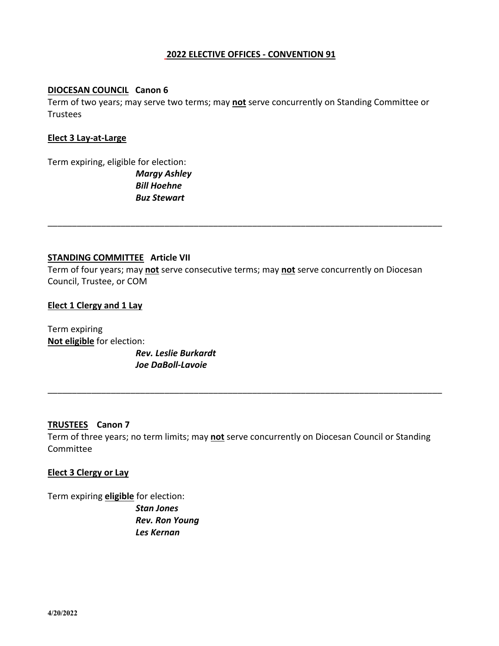# **2022 ELECTIVE OFFICES - CONVENTION 91**

### **DIOCESAN COUNCIL Canon 6**

Term of two years; may serve two terms; may **not** serve concurrently on Standing Committee or Trustees

#### **Elect 3 Lay-at-Large**

Term expiring, eligible for election: *Margy Ashley Bill Hoehne Buz Stewart*

## **STANDING COMMITTEE Article VII**

Term of four years; may **not** serve consecutive terms; may **not** serve concurrently on Diocesan Council, Trustee, or COM

\_\_\_\_\_\_\_\_\_\_\_\_\_\_\_\_\_\_\_\_\_\_\_\_\_\_\_\_\_\_\_\_\_\_\_\_\_\_\_\_\_\_\_\_\_\_\_\_\_\_\_\_\_\_\_\_\_\_\_\_\_\_\_\_\_\_\_\_\_\_\_\_\_\_\_\_\_\_\_\_\_

### **Elect 1 Clergy and 1 Lay**

Term expiring **Not eligible** for election: *Rev. Leslie Burkardt Joe DaBoll-Lavoie*

## **TRUSTEES Canon 7**

Term of three years; no term limits; may **not** serve concurrently on Diocesan Council or Standing Committee

\_\_\_\_\_\_\_\_\_\_\_\_\_\_\_\_\_\_\_\_\_\_\_\_\_\_\_\_\_\_\_\_\_\_\_\_\_\_\_\_\_\_\_\_\_\_\_\_\_\_\_\_\_\_\_\_\_\_\_\_\_\_\_\_\_\_\_\_\_\_\_\_\_\_\_\_\_\_\_\_\_

## **Elect 3 Clergy or Lay**

Term expiring **eligible** for election: *Stan Jones Rev. Ron Young Les Kernan*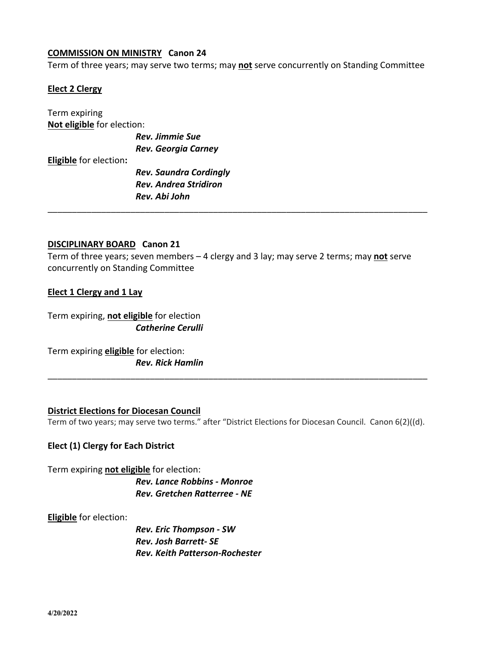## **COMMISSION ON MINISTRY Canon 24**

Term of three years; may serve two terms; may **not** serve concurrently on Standing Committee

### **Elect 2 Clergy**

Term expiring **Not eligible** for election:

> *Rev. Jimmie Sue Rev. Georgia Carney*

**Eligible** for election**:**

*Rev. Saundra Cordingly Rev. Andrea Stridiron Rev. Abi John*

# **DISCIPLINARY BOARD Canon 21**

Term of three years; seven members – 4 clergy and 3 lay; may serve 2 terms; may **not** serve concurrently on Standing Committee

\_\_\_\_\_\_\_\_\_\_\_\_\_\_\_\_\_\_\_\_\_\_\_\_\_\_\_\_\_\_\_\_\_\_\_\_\_\_\_\_\_\_\_\_\_\_\_\_\_\_\_\_\_\_\_\_\_\_\_\_\_\_\_\_\_\_\_\_\_\_\_\_\_\_\_\_\_\_

### **Elect 1 Clergy and 1 Lay**

Term expiring, **not eligible** for election *Catherine Cerulli*

Term expiring **eligible** for election: *Rev. Rick Hamlin*

#### **District Elections for Diocesan Council**

Term of two years; may serve two terms." after "District Elections for Diocesan Council. Canon 6(2)((d).

\_\_\_\_\_\_\_\_\_\_\_\_\_\_\_\_\_\_\_\_\_\_\_\_\_\_\_\_\_\_\_\_\_\_\_\_\_\_\_\_\_\_\_\_\_\_\_\_\_\_\_\_\_\_\_\_\_\_\_\_\_\_\_\_\_\_\_\_\_\_\_\_\_\_\_\_\_\_

### **Elect (1) Clergy for Each District**

Term expiring **not eligible** for election: *Rev. Lance Robbins - Monroe Rev. Gretchen Ratterree - NE*

### **Eligible** for election:

*Rev. Eric Thompson - SW Rev. Josh Barrett- SE Rev. Keith Patterson-Rochester*